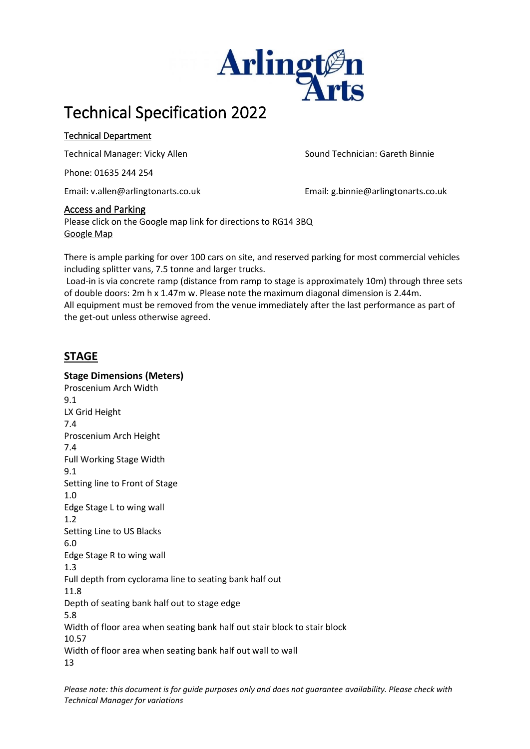

# Technical Specification 2022

### Technical Department

Technical Manager: Vicky Allen Sound Technician: Gareth Binnie

Phone: 01635 244 254

Email: v.allen@arlingtonarts.co.uk Email: g.binnie@arlingtonarts.co.uk

### Access and Parking

Please click on the Google map link for directions to RG14 3BQ [Google Map](https://maps.google.co.uk/maps?q=rg143bq&hl=en&ll=51.437103,-1.329389&spn=0.009604,0.016801&sll=52.8382,-2.327815&sspn=9.537083,17.20459&t=h&hnear=RG14+3BQ,+United+Kingdom&z=16)

There is ample parking for over 100 cars on site, and reserved parking for most commercial vehicles including splitter vans, 7.5 tonne and larger trucks.

Load-in is via concrete ramp (distance from ramp to stage is approximately 10m) through three sets of double doors: 2m h x 1.47m w. Please note the maximum diagonal dimension is 2.44m. All equipment must be removed from the venue immediately after the last performance as part of the get-out unless otherwise agreed.

## **STAGE**

**Stage Dimensions (Meters)** Proscenium Arch Width 9.1 LX Grid Height 7.4 Proscenium Arch Height 7.4 Full Working Stage Width 9.1 Setting line to Front of Stage 1.0 Edge Stage L to wing wall 1.2 Setting Line to US Blacks 6.0 Edge Stage R to wing wall 1.3 Full depth from cyclorama line to seating bank half out 11.8 Depth of seating bank half out to stage edge 5.8 Width of floor area when seating bank half out stair block to stair block 10.57 Width of floor area when seating bank half out wall to wall 13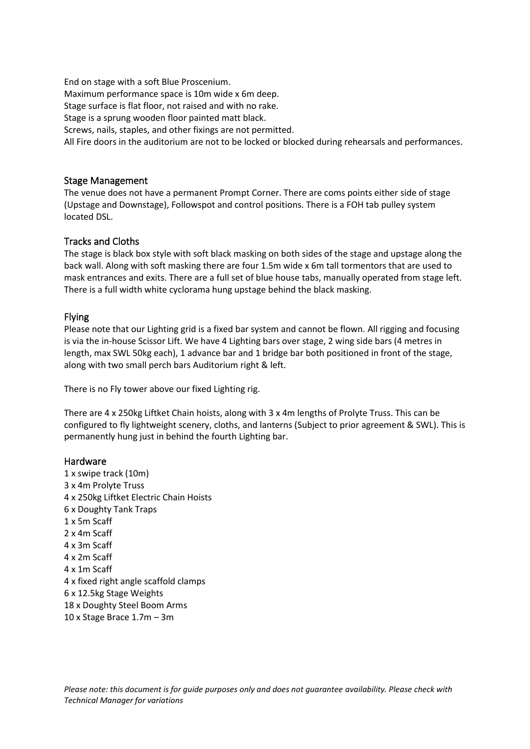End on stage with a soft Blue Proscenium. Maximum performance space is 10m wide x 6m deep. Stage surface is flat floor, not raised and with no rake. Stage is a sprung wooden floor painted matt black. Screws, nails, staples, and other fixings are not permitted. All Fire doors in the auditorium are not to be locked or blocked during rehearsals and performances.

#### Stage Management

The venue does not have a permanent Prompt Corner. There are coms points either side of stage (Upstage and Downstage), Followspot and control positions. There is a FOH tab pulley system located DSL.

#### Tracks and Cloths

The stage is black box style with soft black masking on both sides of the stage and upstage along the back wall. Along with soft masking there are four 1.5m wide x 6m tall tormentors that are used to mask entrances and exits. There are a full set of blue house tabs, manually operated from stage left. There is a full width white cyclorama hung upstage behind the black masking.

#### Flying

Please note that our Lighting grid is a fixed bar system and cannot be flown. All rigging and focusing is via the in-house Scissor Lift. We have 4 Lighting bars over stage, 2 wing side bars (4 metres in length, max SWL 50kg each), 1 advance bar and 1 bridge bar both positioned in front of the stage, along with two small perch bars Auditorium right & left.

There is no Fly tower above our fixed Lighting rig.

There are 4 x 250kg Liftket Chain hoists, along with 3 x 4m lengths of Prolyte Truss. This can be configured to fly lightweight scenery, cloths, and lanterns (Subject to prior agreement & SWL). This is permanently hung just in behind the fourth Lighting bar.

#### Hardware

1 x swipe track (10m) 3 x 4m Prolyte Truss 4 x 250kg Liftket Electric Chain Hoists 6 x Doughty Tank Traps 1 x 5m Scaff 2 x 4m Scaff 4 x 3m Scaff 4 x 2m Scaff 4 x 1m Scaff 4 x fixed right angle scaffold clamps 6 x 12.5kg Stage Weights 18 x Doughty Steel Boom Arms 10 x Stage Brace 1.7m – 3m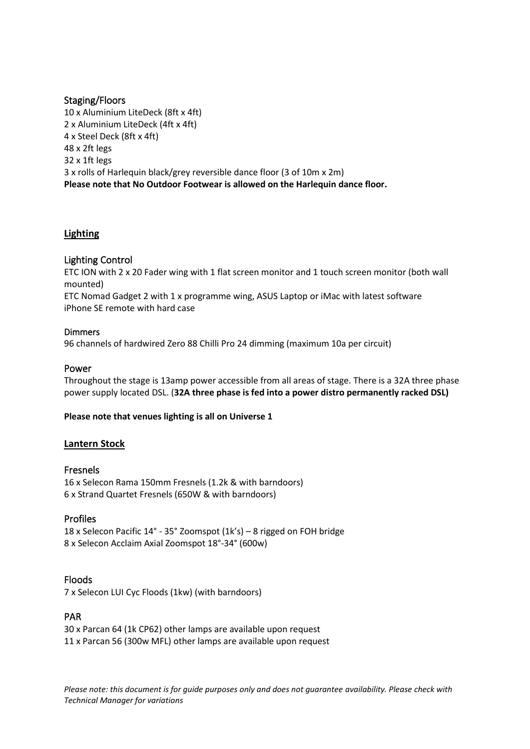#### Staging/Floors

10 x Aluminium LiteDeck (8ft x 4ft) 2 x Aluminium LiteDeck (4ft x 4ft) 4 x Steel Deck (8ft x 4ft) 48 x 2ft legs 32 x 1ft legs 3 x rolls of Harlequin black/grey reversible dance floor (3 of 10m x 2m) **Please note that No Outdoor Footwear is allowed on the Harlequin dance floor.**

#### **Lighting**

#### Lighting Control

ETC ION with 2 x 20 Fader wing with 1 flat screen monitor and 1 touch screen monitor (both wall mounted)

ETC Nomad Gadget 2 with 1 x programme wing, ASUS Laptop or iMac with latest software iPhone SE remote with hard case

#### Dimmers

96 channels of hardwired Zero 88 Chilli Pro 24 dimming (maximum 10a per circuit)

#### Power

Throughout the stage is 13amp power accessible from all areas of stage. There is a 32A three phase power supply located DSL. (**32A three phase is fed into a power distro permanently racked DSL)**

#### **Please note that venues lighting is all on Universe 1**

#### **Lantern Stock**

#### Fresnels

16 x Selecon Rama 150mm Fresnels (1.2k & with barndoors) 6 x Strand Quartet Fresnels (650W & with barndoors)

#### Profiles

18 x Selecon Pacific 14° - 35° Zoomspot (1k's) – 8 rigged on FOH bridge 8 x Selecon Acclaim Axial Zoomspot 18°-34° (600w)

#### Floods

7 x Selecon LUI Cyc Floods (1kw) (with barndoors)

#### PAR

30 x Parcan 64 (1k CP62) other lamps are available upon request 11 x Parcan 56 (300w MFL) other lamps are available upon request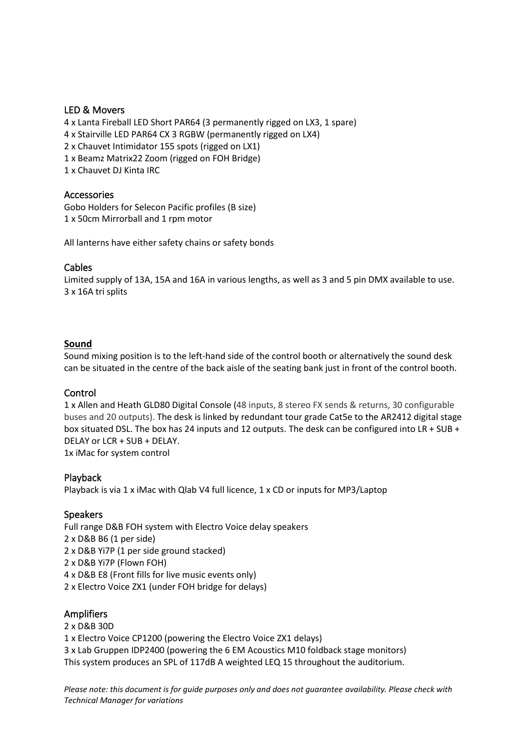#### LED & Movers

4 x Lanta Fireball LED Short PAR64 (3 permanently rigged on LX3, 1 spare) 4 x Stairville LED PAR64 CX 3 RGBW (permanently rigged on LX4) 2 x Chauvet Intimidator 155 spots (rigged on LX1) 1 x Beamz Matrix22 Zoom (rigged on FOH Bridge) 1 x Chauvet DJ Kinta IRC

#### Accessories

Gobo Holders for Selecon Pacific profiles (B size) 1 x 50cm Mirrorball and 1 rpm motor

All lanterns have either safety chains or safety bonds

#### Cables

Limited supply of 13A, 15A and 16A in various lengths, as well as 3 and 5 pin DMX available to use. 3 x 16A tri splits

#### **Sound**

Sound mixing position is to the left-hand side of the control booth or alternatively the sound desk can be situated in the centre of the back aisle of the seating bank just in front of the control booth.

#### Control

1 x Allen and Heath GLD80 Digital Console (48 inputs, 8 stereo FX sends & returns, 30 configurable buses and 20 outputs). The desk is linked by redundant tour grade Cat5e to the AR2412 digital stage box situated DSL. The box has 24 inputs and 12 outputs. The desk can be configured into LR + SUB + DELAY or LCR + SUB + DELAY. 1x iMac for system control

#### Playback

Playback is via 1 x iMac with Qlab V4 full licence, 1 x CD or inputs for MP3/Laptop

#### Speakers

Full range D&B FOH system with Electro Voice delay speakers 2 x D&B B6 (1 per side) 2 x D&B Yi7P (1 per side ground stacked) 2 x D&B Yi7P (Flown FOH) 4 x D&B E8 (Front fills for live music events only) 2 x Electro Voice ZX1 (under FOH bridge for delays)

#### Amplifiers

2 x D&B 30D 1 x Electro Voice CP1200 (powering the Electro Voice ZX1 delays) 3 x Lab Gruppen IDP2400 (powering the 6 EM Acoustics M10 foldback stage monitors) This system produces an SPL of 117dB A weighted LEQ 15 throughout the auditorium.

*Please note: this document is for guide purposes only and does not guarantee availability. Please check with Technical Manager for variations*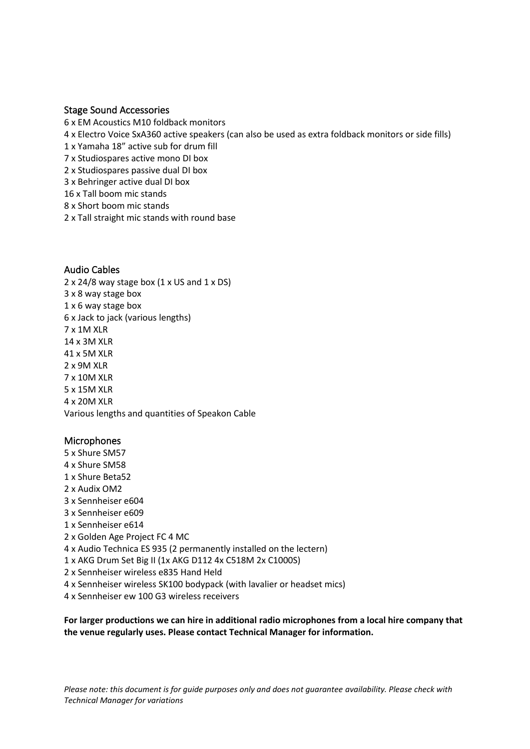#### Stage Sound Accessories

- 6 x EM Acoustics M10 foldback monitors
- 4 x Electro Voice SxA360 active speakers (can also be used as extra foldback monitors or side fills)
- 1 x Yamaha 18" active sub for drum fill
- 7 x Studiospares active mono DI box
- 2 x Studiospares passive dual DI box
- 3 x Behringer active dual DI box
- 16 x Tall boom mic stands
- 8 x Short boom mic stands
- 2 x Tall straight mic stands with round base

#### Audio Cables

 $2 \times 24/8$  way stage box (1 x US and 1 x DS) 3 x 8 way stage box 1 x 6 way stage box 6 x Jack to jack (various lengths) 7 x 1M XLR 14 x 3M XLR 41 x 5M XLR 2 x 9M XLR 7 x 10M XLR 5 x 15M XLR 4 x 20M XLR Various lengths and quantities of Speakon Cable

#### Microphones

5 x Shure SM57 4 x Shure SM58 1 x Shure Beta52 2 x Audix OM2 3 x Sennheiser e604 3 x Sennheiser e609 1 x Sennheiser e614 2 x Golden Age Project FC 4 MC 4 x Audio Technica ES 935 (2 permanently installed on the lectern) 1 x AKG Drum Set Big II (1x AKG D112 4x C518M 2x C1000S) 2 x Sennheiser wireless e835 Hand Held 4 x Sennheiser wireless SK100 bodypack (with lavalier or headset mics) 4 x Sennheiser ew 100 G3 wireless receivers

**For larger productions we can hire in additional radio microphones from a local hire company that the venue regularly uses. Please contact Technical Manager for information.**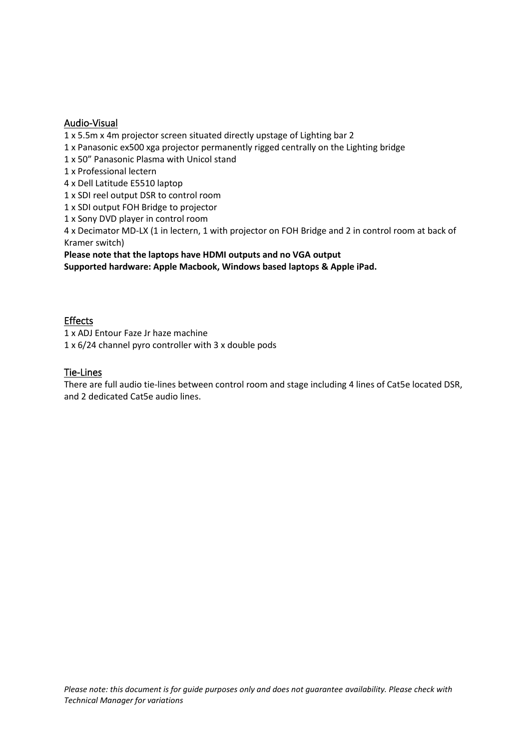#### Audio-Visual

1 x 5.5m x 4m projector screen situated directly upstage of Lighting bar 2

1 x Panasonic ex500 xga projector permanently rigged centrally on the Lighting bridge

1 x 50" Panasonic Plasma with Unicol stand

1 x Professional lectern

4 x Dell Latitude E5510 laptop

1 x SDI reel output DSR to control room

1 x SDI output FOH Bridge to projector

1 x Sony DVD player in control room

4 x Decimator MD-LX (1 in lectern, 1 with projector on FOH Bridge and 2 in control room at back of Kramer switch)

**Please note that the laptops have HDMI outputs and no VGA output**

**Supported hardware: Apple Macbook, Windows based laptops & Apple iPad.**

#### Effects

1 x ADJ Entour Faze Jr haze machine 1 x 6/24 channel pyro controller with 3 x double pods

#### Tie-Lines

There are full audio tie-lines between control room and stage including 4 lines of Cat5e located DSR, and 2 dedicated Cat5e audio lines.